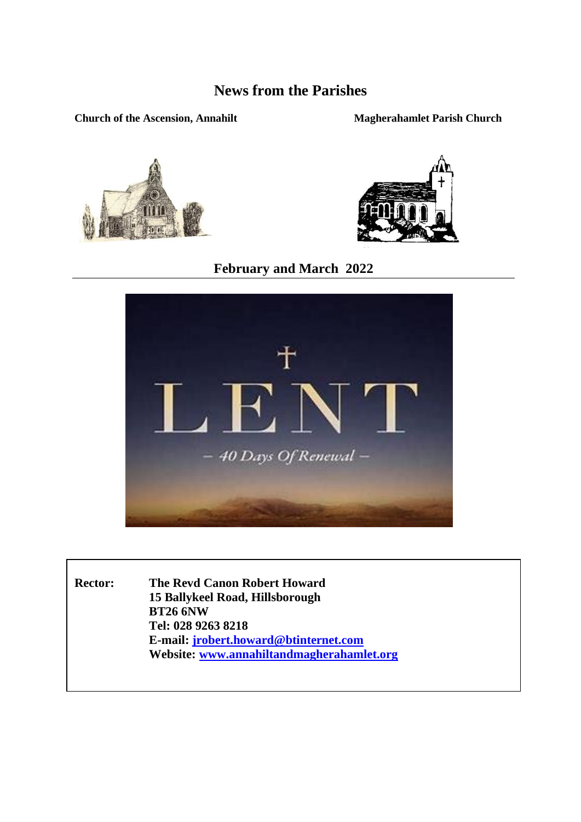## **News from the Parishes**

#### **Church of the Ascension, Annahilt Magherahamlet Parish Church**





## **February and March 2022**



**Rector: The Revd Canon Robert Howard 15 Ballykeel Road, Hillsborough BT26 6NW Tel: 028 9263 8218 E-mail[: jrobert.howard@btinternet.com](mailto:jrobert.howard@btinternet.com) Website: [www.annahiltandmagherahamlet.org](http://www.annahiltandmagherahamlet.org/)**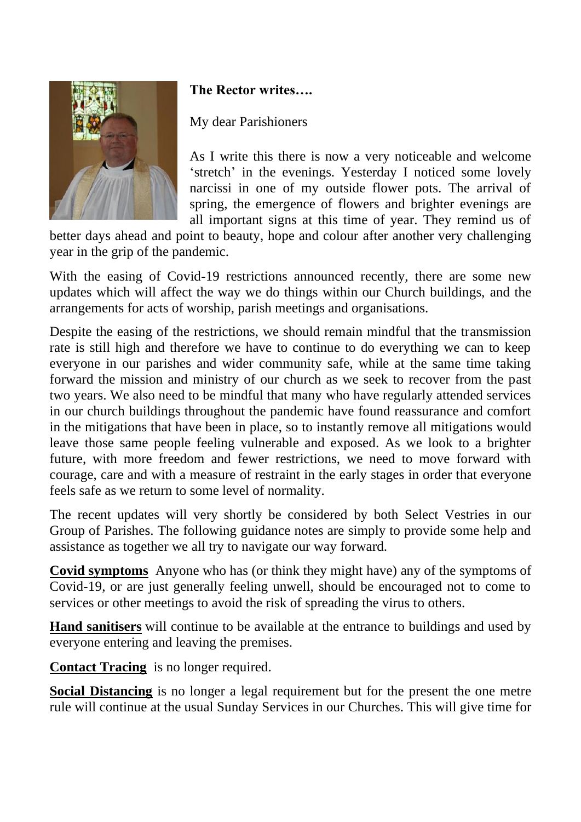

## **The Rector writes….**

## My dear Parishioners

As I write this there is now a very noticeable and welcome 'stretch' in the evenings. Yesterday I noticed some lovely narcissi in one of my outside flower pots. The arrival of spring, the emergence of flowers and brighter evenings are all important signs at this time of year. They remind us of

better days ahead and point to beauty, hope and colour after another very challenging year in the grip of the pandemic.

With the easing of Covid-19 restrictions announced recently, there are some new updates which will affect the way we do things within our Church buildings, and the arrangements for acts of worship, parish meetings and organisations.

Despite the easing of the restrictions, we should remain mindful that the transmission rate is still high and therefore we have to continue to do everything we can to keep everyone in our parishes and wider community safe, while at the same time taking forward the mission and ministry of our church as we seek to recover from the past two years. We also need to be mindful that many who have regularly attended services in our church buildings throughout the pandemic have found reassurance and comfort in the mitigations that have been in place, so to instantly remove all mitigations would leave those same people feeling vulnerable and exposed. As we look to a brighter future, with more freedom and fewer restrictions, we need to move forward with courage, care and with a measure of restraint in the early stages in order that everyone feels safe as we return to some level of normality.

The recent updates will very shortly be considered by both Select Vestries in our Group of Parishes. The following guidance notes are simply to provide some help and assistance as together we all try to navigate our way forward.

**Covid symptoms** Anyone who has (or think they might have) any of the symptoms of Covid-19, or are just generally feeling unwell, should be encouraged not to come to services or other meetings to avoid the risk of spreading the virus to others.

**Hand sanitisers** will continue to be available at the entrance to buildings and used by everyone entering and leaving the premises.

**Contact Tracing** is no longer required.

**Social Distancing** is no longer a legal requirement but for the present the one metre rule will continue at the usual Sunday Services in our Churches. This will give time for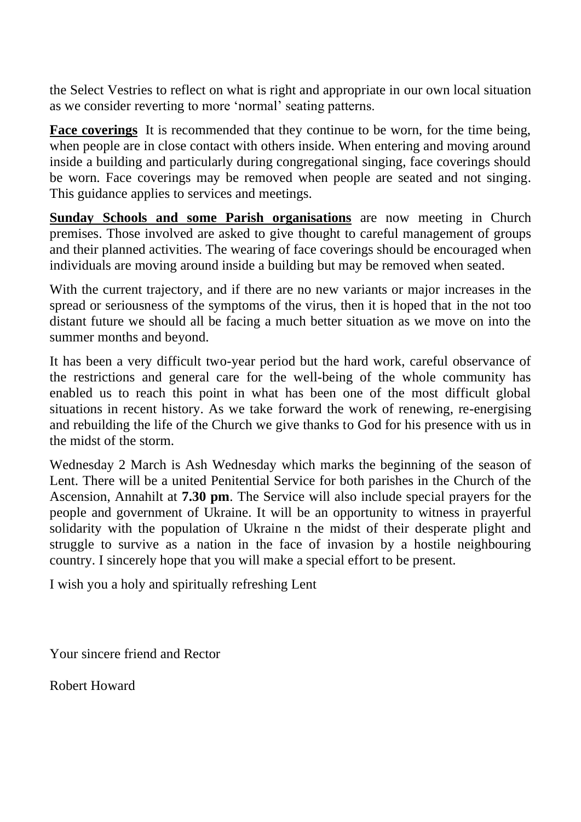the Select Vestries to reflect on what is right and appropriate in our own local situation as we consider reverting to more 'normal' seating patterns.

**Face coverings** It is recommended that they continue to be worn, for the time being, when people are in close contact with others inside. When entering and moving around inside a building and particularly during congregational singing, face coverings should be worn. Face coverings may be removed when people are seated and not singing. This guidance applies to services and meetings.

**Sunday Schools and some Parish organisations** are now meeting in Church premises. Those involved are asked to give thought to careful management of groups and their planned activities. The wearing of face coverings should be encouraged when individuals are moving around inside a building but may be removed when seated.

With the current trajectory, and if there are no new variants or major increases in the spread or seriousness of the symptoms of the virus, then it is hoped that in the not too distant future we should all be facing a much better situation as we move on into the summer months and beyond.

It has been a very difficult two-year period but the hard work, careful observance of the restrictions and general care for the well-being of the whole community has enabled us to reach this point in what has been one of the most difficult global situations in recent history. As we take forward the work of renewing, re-energising and rebuilding the life of the Church we give thanks to God for his presence with us in the midst of the storm.

Wednesday 2 March is Ash Wednesday which marks the beginning of the season of Lent. There will be a united Penitential Service for both parishes in the Church of the Ascension, Annahilt at **7.30 pm**. The Service will also include special prayers for the people and government of Ukraine. It will be an opportunity to witness in prayerful solidarity with the population of Ukraine n the midst of their desperate plight and struggle to survive as a nation in the face of invasion by a hostile neighbouring country. I sincerely hope that you will make a special effort to be present.

I wish you a holy and spiritually refreshing Lent

Your sincere friend and Rector

Robert Howard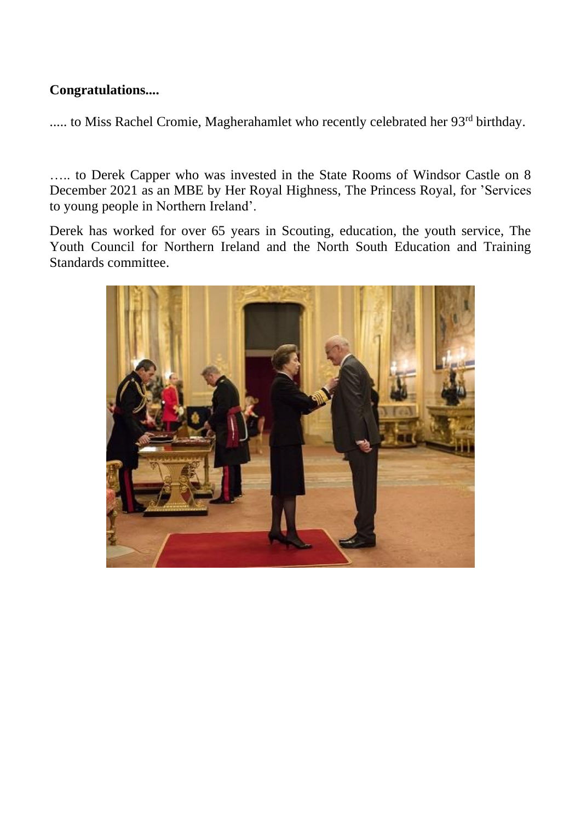## **Congratulations....**

..... to Miss Rachel Cromie, Magherahamlet who recently celebrated her 93<sup>rd</sup> birthday.

….. to Derek Capper who was invested in the State Rooms of Windsor Castle on 8 December 2021 as an MBE by Her Royal Highness, The Princess Royal, for 'Services to young people in Northern Ireland'.

Derek has worked for over 65 years in Scouting, education, the youth service, The Youth Council for Northern Ireland and the North South Education and Training Standards committee.

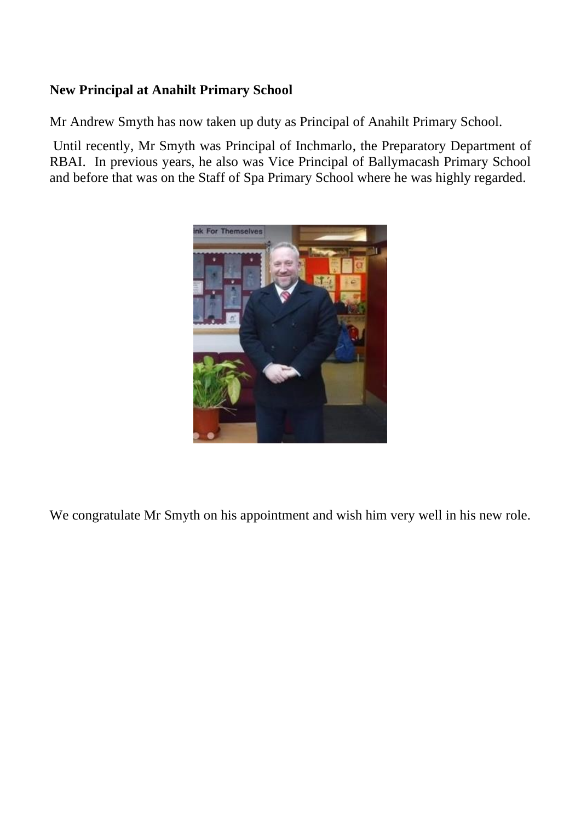## **New Principal at Anahilt Primary School**

Mr Andrew Smyth has now taken up duty as Principal of Anahilt Primary School.

Until recently, Mr Smyth was Principal of Inchmarlo, the Preparatory Department of RBAI. In previous years, he also was Vice Principal of Ballymacash Primary School and before that was on the Staff of Spa Primary School where he was highly regarded.



We congratulate Mr Smyth on his appointment and wish him very well in his new role.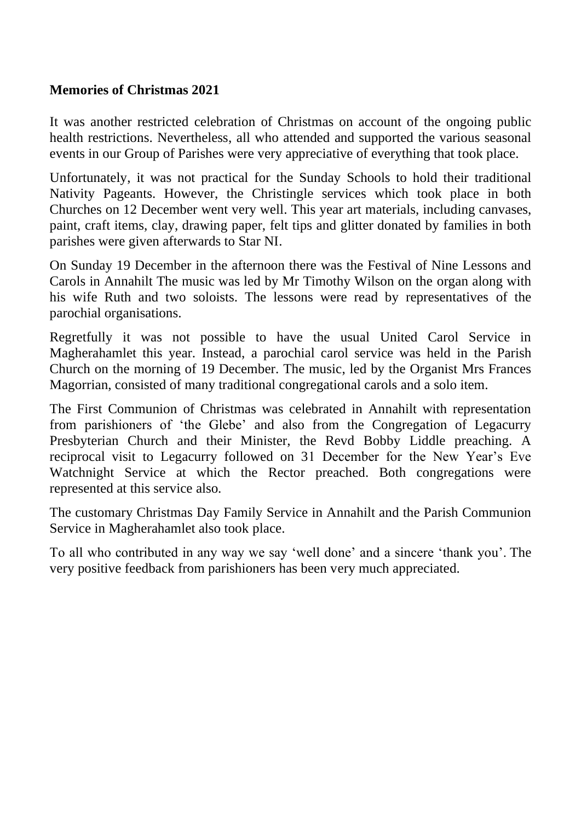#### **Memories of Christmas 2021**

It was another restricted celebration of Christmas on account of the ongoing public health restrictions. Nevertheless, all who attended and supported the various seasonal events in our Group of Parishes were very appreciative of everything that took place.

Unfortunately, it was not practical for the Sunday Schools to hold their traditional Nativity Pageants. However, the Christingle services which took place in both Churches on 12 December went very well. This year art materials, including canvases, paint, craft items, clay, drawing paper, felt tips and glitter donated by families in both parishes were given afterwards to Star NI.

On Sunday 19 December in the afternoon there was the Festival of Nine Lessons and Carols in Annahilt The music was led by Mr Timothy Wilson on the organ along with his wife Ruth and two soloists. The lessons were read by representatives of the parochial organisations.

Regretfully it was not possible to have the usual United Carol Service in Magherahamlet this year. Instead, a parochial carol service was held in the Parish Church on the morning of 19 December. The music, led by the Organist Mrs Frances Magorrian, consisted of many traditional congregational carols and a solo item.

The First Communion of Christmas was celebrated in Annahilt with representation from parishioners of 'the Glebe' and also from the Congregation of Legacurry Presbyterian Church and their Minister, the Revd Bobby Liddle preaching. A reciprocal visit to Legacurry followed on 31 December for the New Year's Eve Watchnight Service at which the Rector preached. Both congregations were represented at this service also.

The customary Christmas Day Family Service in Annahilt and the Parish Communion Service in Magherahamlet also took place.

To all who contributed in any way we say 'well done' and a sincere 'thank you'. The very positive feedback from parishioners has been very much appreciated.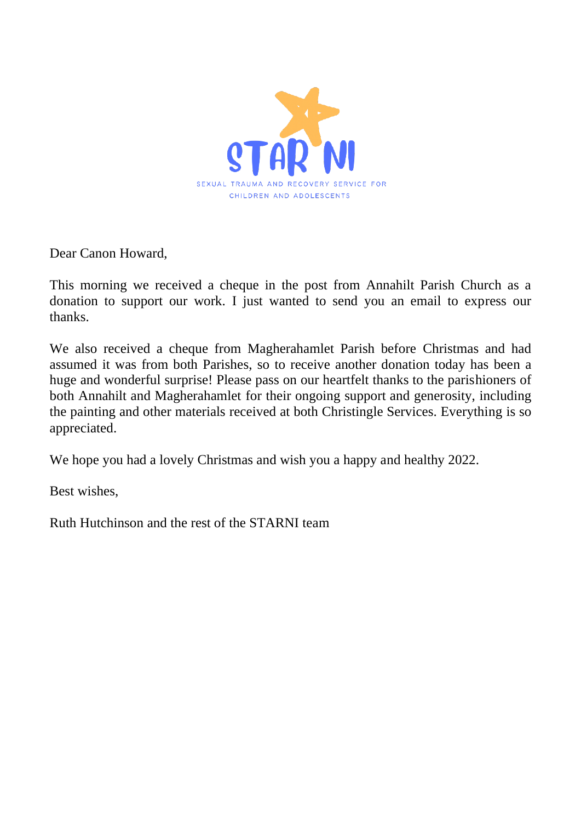

Dear Canon Howard,

This morning we received a cheque in the post from Annahilt Parish Church as a donation to support our work. I just wanted to send you an email to express our thanks.

We also received a cheque from Magherahamlet Parish before Christmas and had assumed it was from both Parishes, so to receive another donation today has been a huge and wonderful surprise! Please pass on our heartfelt thanks to the parishioners of both Annahilt and Magherahamlet for their ongoing support and generosity, including the painting and other materials received at both Christingle Services. Everything is so appreciated.

We hope you had a lovely Christmas and wish you a happy and healthy 2022.

Best wishes,

Ruth Hutchinson and the rest of the STARNI team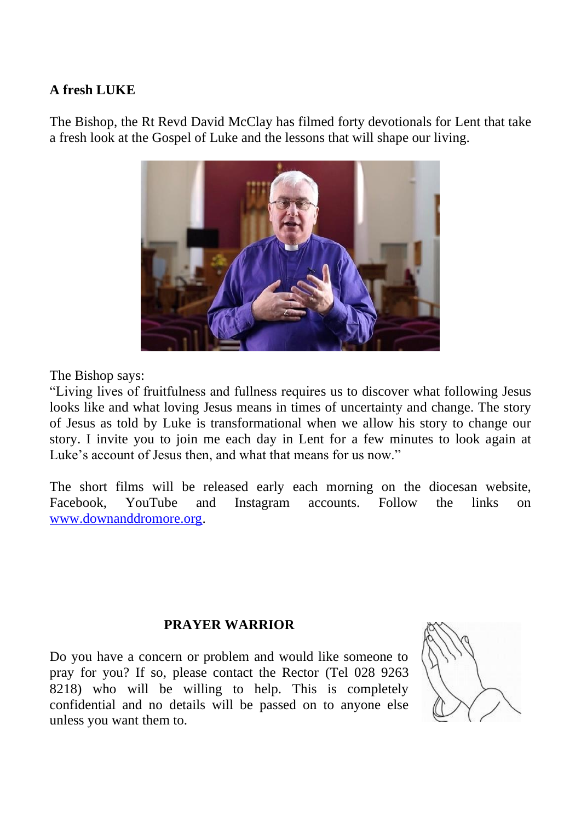#### **A fresh LUKE**

The Bishop, the Rt Revd David McClay has filmed forty devotionals for Lent that take a fresh look at the Gospel of Luke and the lessons that will shape our living.



The Bishop says:

"Living lives of fruitfulness and fullness requires us to discover what following Jesus looks like and what loving Jesus means in times of uncertainty and change. The story of Jesus as told by Luke is transformational when we allow his story to change our story. I invite you to join me each day in Lent for a few minutes to look again at Luke's account of Jesus then, and what that means for us now."

The short films will be released early each morning on the diocesan website, Facebook, YouTube and Instagram accounts. Follow the links on [www.downanddromore.org.](http://www.downanddromore.org/)

## **PRAYER WARRIOR**

Do you have a concern or problem and would like someone to pray for you? If so, please contact the Rector (Tel 028 9263 8218) who will be willing to help. This is completely confidential and no details will be passed on to anyone else unless you want them to.

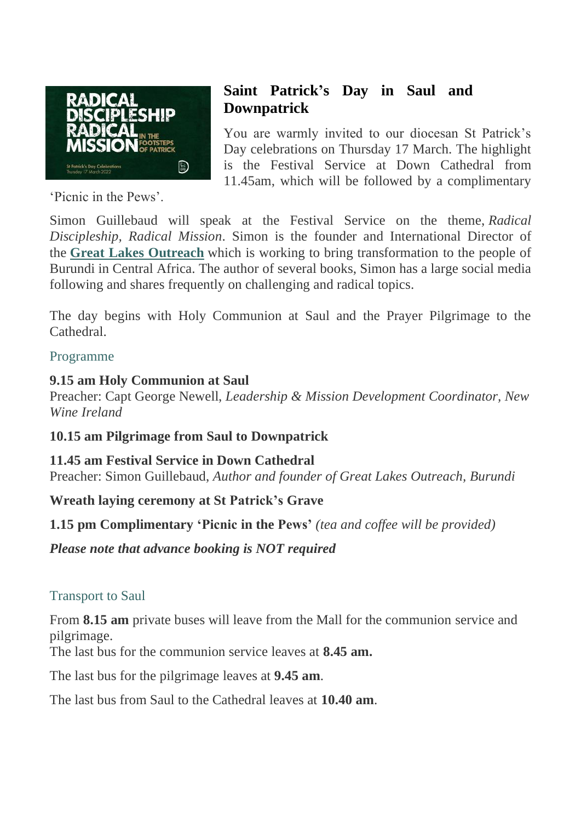

'Picnic in the Pews'.

## **Saint Patrick's Day in Saul and Downpatrick**

You are warmly invited to our diocesan St Patrick's Day celebrations on Thursday 17 March. The highlight is the Festival Service at Down Cathedral from 11.45am, which will be followed by a complimentary

Simon Guillebaud will speak at the Festival Service on the theme, *Radical Discipleship, Radical Mission*. Simon is the founder and International Director of the **Great Lakes [Outreach](https://www.greatlakesoutreach.org/)** which is working to bring transformation to the people of Burundi in Central Africa. The author of several books, Simon has a large social media following and shares frequently on challenging and radical topics.

The day begins with Holy Communion at Saul and the Prayer Pilgrimage to the Cathedral.

## Programme

## **9.15 am Holy Communion at Saul**

Preacher: Capt George Newell, *Leadership & Mission Development Coordinator, New Wine Ireland*

**10.15 am Pilgrimage from Saul to Downpatrick**

**11.45 am Festival Service in Down Cathedral** Preacher: Simon Guillebaud, *Author and founder of Great Lakes Outreach, Burundi*

**Wreath laying ceremony at St Patrick's Grave**

**1.15 pm Complimentary 'Picnic in the Pews'** *(tea and coffee will be provided)*

*Please note that advance booking is NOT required*

## Transport to Saul

From **8.15 am** private buses will leave from the Mall for the communion service and pilgrimage.

The last bus for the communion service leaves at **8.45 am.**

The last bus for the pilgrimage leaves at **9.45 am**.

The last bus from Saul to the Cathedral leaves at **10.40 am**.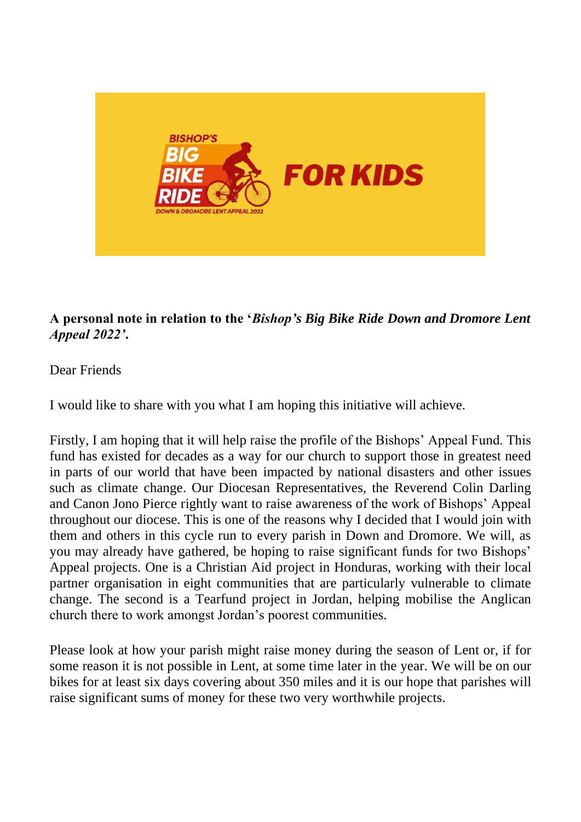

## **A personal note in relation to the '***Bishop's Big Bike Ride Down and Dromore Lent Appeal 2022'***.**

## Dear Friends

I would like to share with you what I am hoping this initiative will achieve.

Firstly, I am hoping that it will help raise the profile of the Bishops' Appeal Fund. This fund has existed for decades as a way for our church to support those in greatest need in parts of our world that have been impacted by national disasters and other issues such as climate change. Our Diocesan Representatives, the Reverend Colin Darling and Canon Jono Pierce rightly want to raise awareness of the work of Bishops' Appeal throughout our diocese. This is one of the reasons why I decided that I would join with them and others in this cycle run to every parish in Down and Dromore. We will, as you may already have gathered, be hoping to raise significant funds for two Bishops' Appeal projects. One is a Christian Aid project in Honduras, working with their local partner organisation in eight communities that are particularly vulnerable to climate change. The second is a Tearfund project in Jordan, helping mobilise the Anglican church there to work amongst Jordan's poorest communities.

Please look at how your parish might raise money during the season of Lent or, if for some reason it is not possible in Lent, at some time later in the year. We will be on our bikes for at least six days covering about 350 miles and it is our hope that parishes will raise significant sums of money for these two very worthwhile projects.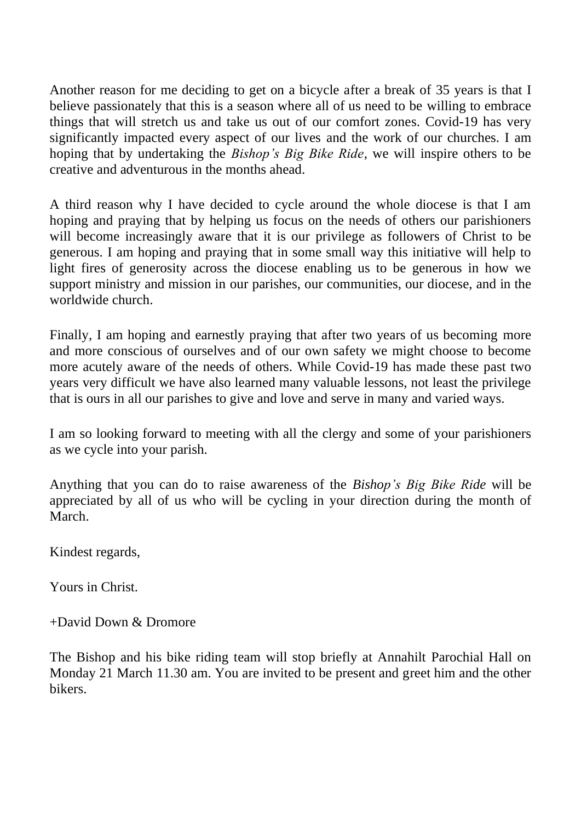Another reason for me deciding to get on a bicycle after a break of 35 years is that I believe passionately that this is a season where all of us need to be willing to embrace things that will stretch us and take us out of our comfort zones. Covid-19 has very significantly impacted every aspect of our lives and the work of our churches. I am hoping that by undertaking the *Bishop's Big Bike Ride*, we will inspire others to be creative and adventurous in the months ahead.

A third reason why I have decided to cycle around the whole diocese is that I am hoping and praying that by helping us focus on the needs of others our parishioners will become increasingly aware that it is our privilege as followers of Christ to be generous. I am hoping and praying that in some small way this initiative will help to light fires of generosity across the diocese enabling us to be generous in how we support ministry and mission in our parishes, our communities, our diocese, and in the worldwide church.

Finally, I am hoping and earnestly praying that after two years of us becoming more and more conscious of ourselves and of our own safety we might choose to become more acutely aware of the needs of others. While Covid-19 has made these past two years very difficult we have also learned many valuable lessons, not least the privilege that is ours in all our parishes to give and love and serve in many and varied ways.

I am so looking forward to meeting with all the clergy and some of your parishioners as we cycle into your parish.

Anything that you can do to raise awareness of the *Bishop's Big Bike Ride* will be appreciated by all of us who will be cycling in your direction during the month of March.

Kindest regards,

Yours in Christ.

 $+$ David Down & Dromore

The Bishop and his bike riding team will stop briefly at Annahilt Parochial Hall on Monday 21 March 11.30 am. You are invited to be present and greet him and the other bikers.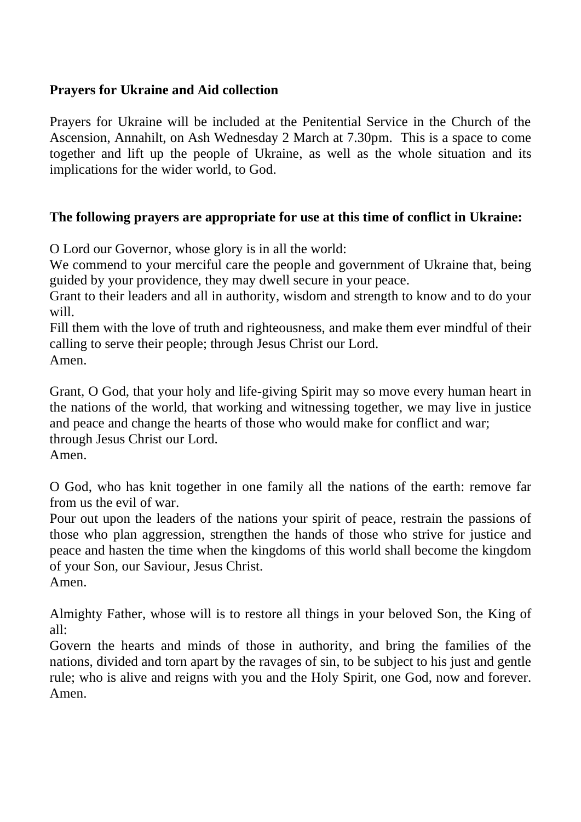## **Prayers for Ukraine and Aid collection**

Prayers for Ukraine will be included at the Penitential Service in the Church of the Ascension, Annahilt, on Ash Wednesday 2 March at 7.30pm. This is a space to come together and lift up the people of Ukraine, as well as the whole situation and its implications for the wider world, to God.

#### **The following prayers are appropriate for use at this time of conflict in Ukraine:**

O Lord our Governor, whose glory is in all the world:

We commend to your merciful care the people and government of Ukraine that, being guided by your providence, they may dwell secure in your peace.

Grant to their leaders and all in authority, wisdom and strength to know and to do your will.

Fill them with the love of truth and righteousness, and make them ever mindful of their calling to serve their people; through Jesus Christ our Lord. Amen.

Grant, O God, that your holy and life-giving Spirit may so move every human heart in the nations of the world, that working and witnessing together, we may live in justice and peace and change the hearts of those who would make for conflict and war; through Jesus Christ our Lord. Amen.

O God, who has knit together in one family all the nations of the earth: remove far from us the evil of war.

Pour out upon the leaders of the nations your spirit of peace, restrain the passions of those who plan aggression, strengthen the hands of those who strive for justice and peace and hasten the time when the kingdoms of this world shall become the kingdom of your Son, our Saviour, Jesus Christ.

Amen.

Almighty Father, whose will is to restore all things in your beloved Son, the King of all:

Govern the hearts and minds of those in authority, and bring the families of the nations, divided and torn apart by the ravages of sin, to be subject to his just and gentle rule; who is alive and reigns with you and the Holy Spirit, one God, now and forever. Amen.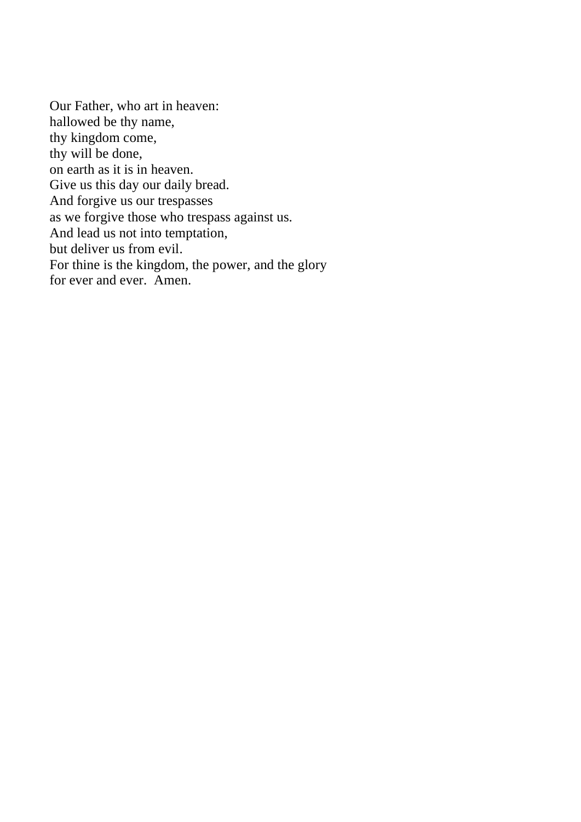Our Father, who art in heaven: hallowed be thy name, thy kingdom come, thy will be done, on earth as it is in heaven. Give us this day our daily bread. And forgive us our trespasses as we forgive those who trespass against us. And lead us not into temptation, but deliver us from evil. For thine is the kingdom, the power, and the glory for ever and ever. Amen.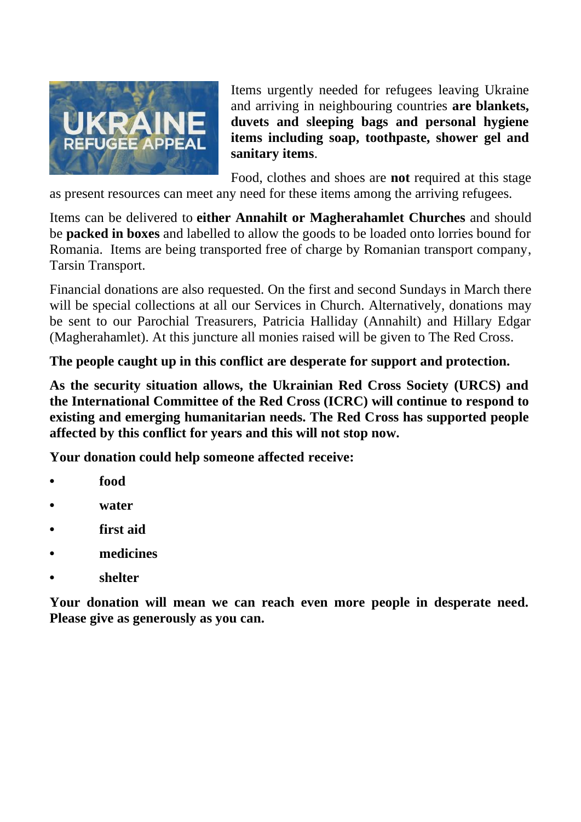

Items urgently needed for refugees leaving Ukraine and arriving in neighbouring countries **are blankets, duvets and sleeping bags and personal hygiene items including soap, toothpaste, shower gel and sanitary items**.

Food, clothes and shoes are **not** required at this stage

as present resources can meet any need for these items among the arriving refugees.

Items can be delivered to **either Annahilt or Magherahamlet Churches** and should be **packed in boxes** and labelled to allow the goods to be loaded onto lorries bound for Romania. Items are being transported free of charge by Romanian transport company, Tarsin Transport.

Financial donations are also requested. On the first and second Sundays in March there will be special collections at all our Services in Church. Alternatively, donations may be sent to our Parochial Treasurers, Patricia Halliday (Annahilt) and Hillary Edgar (Magherahamlet). At this juncture all monies raised will be given to The Red Cross.

**The people caught up in this conflict are desperate for support and protection.**

**As the security situation allows, the Ukrainian Red Cross Society (URCS) and the International Committee of the Red Cross (ICRC) will continue to respond to existing and emerging humanitarian needs. The Red Cross has supported people affected by this conflict for years and this will not stop now.**

**Your donation could help someone affected receive:**

- **• food**
- **• water**
- **• first aid**
- **• medicines**
- **• shelter**

**Your donation will mean we can reach even more people in desperate need. Please give as generously as you can.**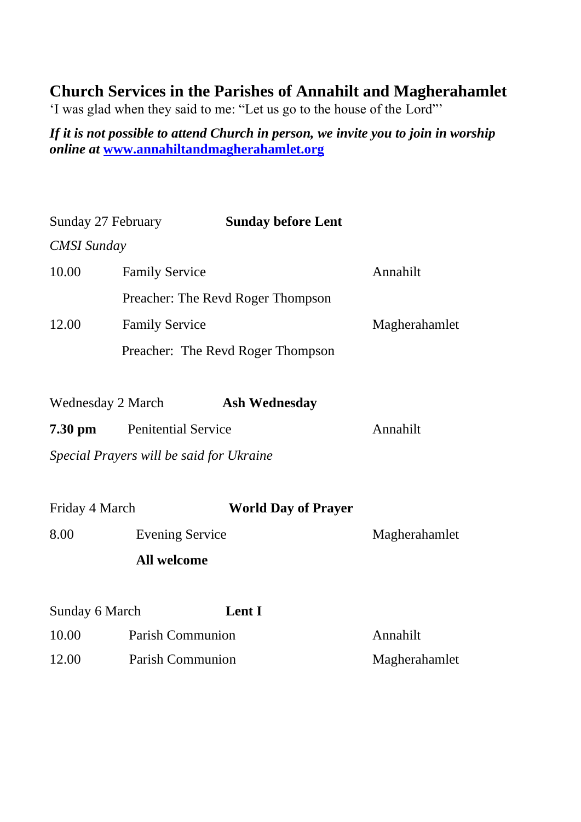## **Church Services in the Parishes of Annahilt and Magherahamlet**

'I was glad when they said to me: "Let us go to the house of the Lord"'

*If it is not possible to attend Church in person, we invite you to join in worship online at* **[www.annahiltandmagherahamlet.org](http://www.annahiltandmagherahamlet.org/)**

| Sunday 27 February                       |                            | <b>Sunday before Lent</b>         |               |
|------------------------------------------|----------------------------|-----------------------------------|---------------|
| CMSI Sunday                              |                            |                                   |               |
| 10.00                                    | <b>Family Service</b>      |                                   | Annahilt      |
|                                          |                            | Preacher: The Revd Roger Thompson |               |
| 12.00                                    | <b>Family Service</b>      |                                   | Magherahamlet |
|                                          |                            | Preacher: The Revd Roger Thompson |               |
|                                          |                            |                                   |               |
|                                          | Wednesday 2 March          | <b>Ash Wednesday</b>              |               |
| 7.30 pm                                  | <b>Penitential Service</b> |                                   | Annahilt      |
| Special Prayers will be said for Ukraine |                            |                                   |               |
|                                          |                            |                                   |               |
| Friday 4 March                           |                            | <b>World Day of Prayer</b>        |               |
| 8.00                                     | <b>Evening Service</b>     |                                   | Magherahamlet |
| All welcome                              |                            |                                   |               |
|                                          |                            |                                   |               |
| Sunday 6 March                           |                            | <b>Lent I</b>                     |               |
| 10.00                                    | Parish Communion           |                                   | Annahilt      |
| 12.00                                    | Parish Communion           |                                   | Magherahamlet |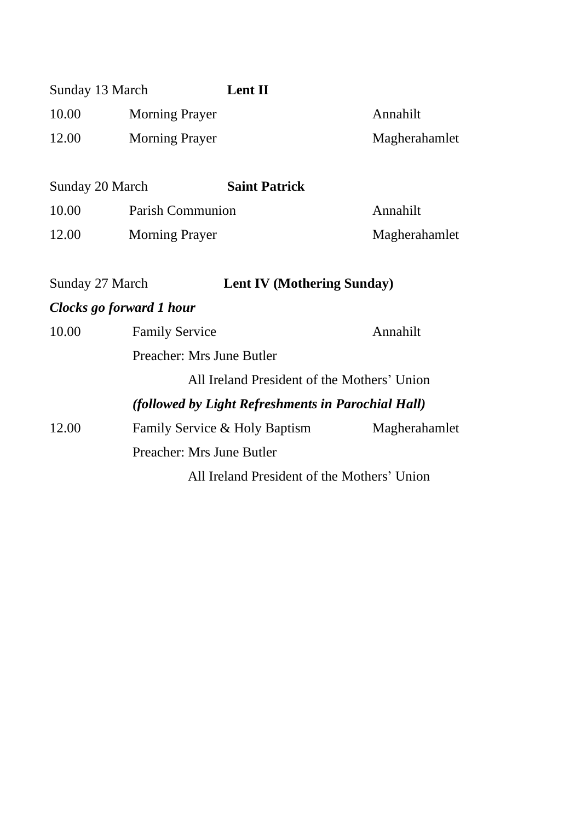| Sunday 13 March |                           | Lent II                                            |               |
|-----------------|---------------------------|----------------------------------------------------|---------------|
| 10.00           | Morning Prayer            |                                                    | Annahilt      |
| 12.00           | Morning Prayer            |                                                    | Magherahamlet |
| Sunday 20 March |                           | <b>Saint Patrick</b>                               |               |
| 10.00           | Parish Communion          |                                                    | Annahilt      |
| 12.00           | <b>Morning Prayer</b>     |                                                    | Magherahamlet |
| Sunday 27 March |                           | <b>Lent IV (Mothering Sunday)</b>                  |               |
|                 | Clocks go forward 1 hour  |                                                    |               |
| 10.00           | <b>Family Service</b>     |                                                    | Annahilt      |
|                 | Preacher: Mrs June Butler |                                                    |               |
|                 |                           | All Ireland President of the Mothers' Union        |               |
|                 |                           | (followed by Light Refreshments in Parochial Hall) |               |
| 12.00           |                           | Family Service & Holy Baptism                      | Magherahamlet |
|                 | Preacher: Mrs June Butler |                                                    |               |
|                 |                           | All Ireland President of the Mothers' Union        |               |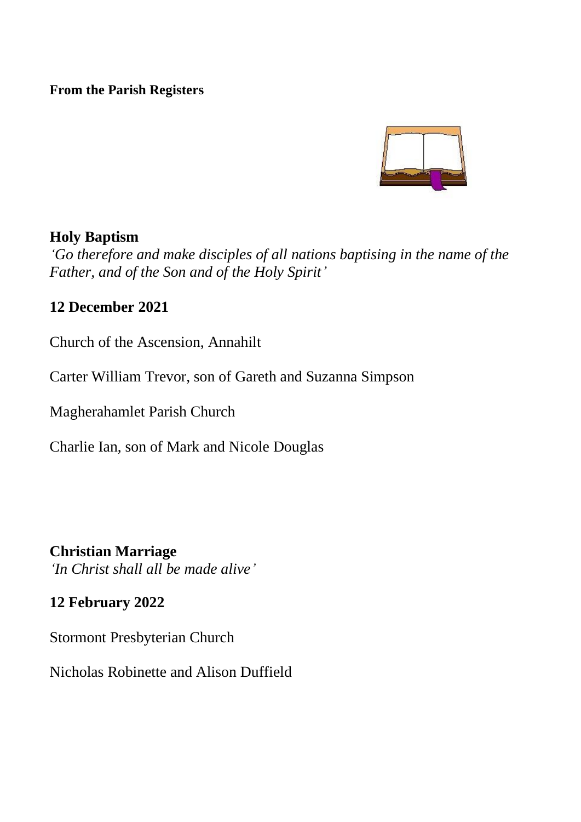#### **From the Parish Registers**



## **Holy Baptism**

*'Go therefore and make disciples of all nations baptising in the name of the Father, and of the Son and of the Holy Spirit'*

## **12 December 2021**

Church of the Ascension, Annahilt

Carter William Trevor, son of Gareth and Suzanna Simpson

Magherahamlet Parish Church

Charlie Ian, son of Mark and Nicole Douglas

**Christian Marriage** *'In Christ shall all be made alive'*

## **12 February 2022**

Stormont Presbyterian Church

Nicholas Robinette and Alison Duffield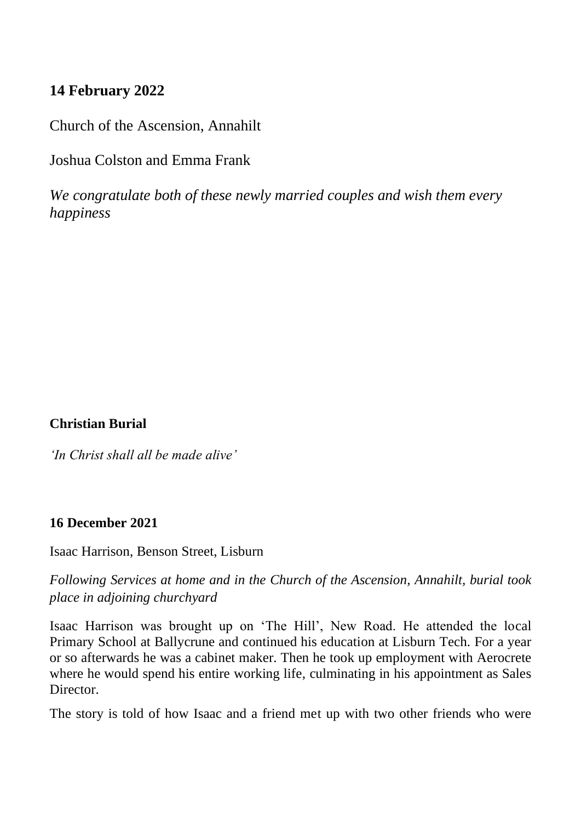## **14 February 2022**

Church of the Ascension, Annahilt

Joshua Colston and Emma Frank

*We congratulate both of these newly married couples and wish them every happiness*

**Christian Burial**

*'In Christ shall all be made alive'*

#### **16 December 2021**

Isaac Harrison, Benson Street, Lisburn

*Following Services at home and in the Church of the Ascension, Annahilt, burial took place in adjoining churchyard*

Isaac Harrison was brought up on 'The Hill', New Road. He attended the local Primary School at Ballycrune and continued his education at Lisburn Tech. For a year or so afterwards he was a cabinet maker. Then he took up employment with Aerocrete where he would spend his entire working life, culminating in his appointment as Sales Director.

The story is told of how Isaac and a friend met up with two other friends who were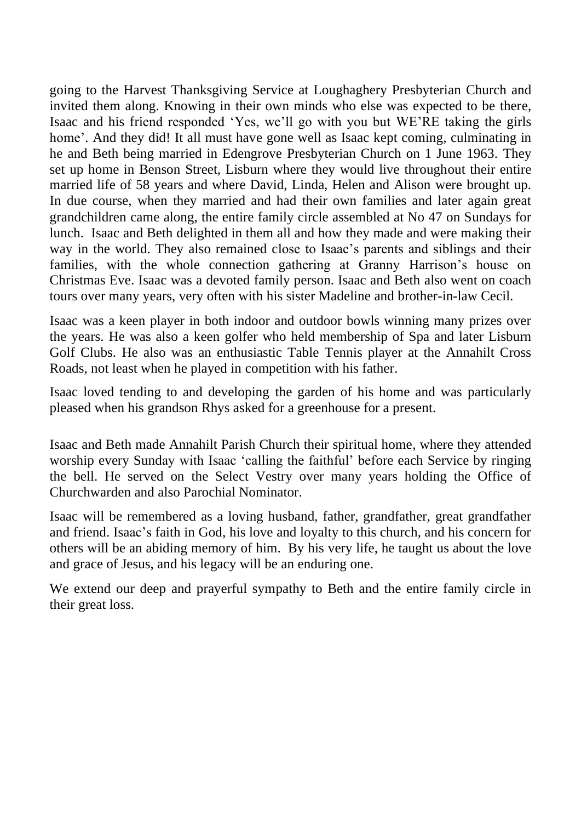going to the Harvest Thanksgiving Service at Loughaghery Presbyterian Church and invited them along. Knowing in their own minds who else was expected to be there, Isaac and his friend responded 'Yes, we'll go with you but WE'RE taking the girls home'. And they did! It all must have gone well as Isaac kept coming, culminating in he and Beth being married in Edengrove Presbyterian Church on 1 June 1963. They set up home in Benson Street, Lisburn where they would live throughout their entire married life of 58 years and where David, Linda, Helen and Alison were brought up. In due course, when they married and had their own families and later again great grandchildren came along, the entire family circle assembled at No 47 on Sundays for lunch. Isaac and Beth delighted in them all and how they made and were making their way in the world. They also remained close to Isaac's parents and siblings and their families, with the whole connection gathering at Granny Harrison's house on Christmas Eve. Isaac was a devoted family person. Isaac and Beth also went on coach tours over many years, very often with his sister Madeline and brother-in-law Cecil.

Isaac was a keen player in both indoor and outdoor bowls winning many prizes over the years. He was also a keen golfer who held membership of Spa and later Lisburn Golf Clubs. He also was an enthusiastic Table Tennis player at the Annahilt Cross Roads, not least when he played in competition with his father.

Isaac loved tending to and developing the garden of his home and was particularly pleased when his grandson Rhys asked for a greenhouse for a present.

Isaac and Beth made Annahilt Parish Church their spiritual home, where they attended worship every Sunday with Isaac 'calling the faithful' before each Service by ringing the bell. He served on the Select Vestry over many years holding the Office of Churchwarden and also Parochial Nominator.

Isaac will be remembered as a loving husband, father, grandfather, great grandfather and friend. Isaac's faith in God, his love and loyalty to this church, and his concern for others will be an abiding memory of him. By his very life, he taught us about the love and grace of Jesus, and his legacy will be an enduring one.

We extend our deep and prayerful sympathy to Beth and the entire family circle in their great loss.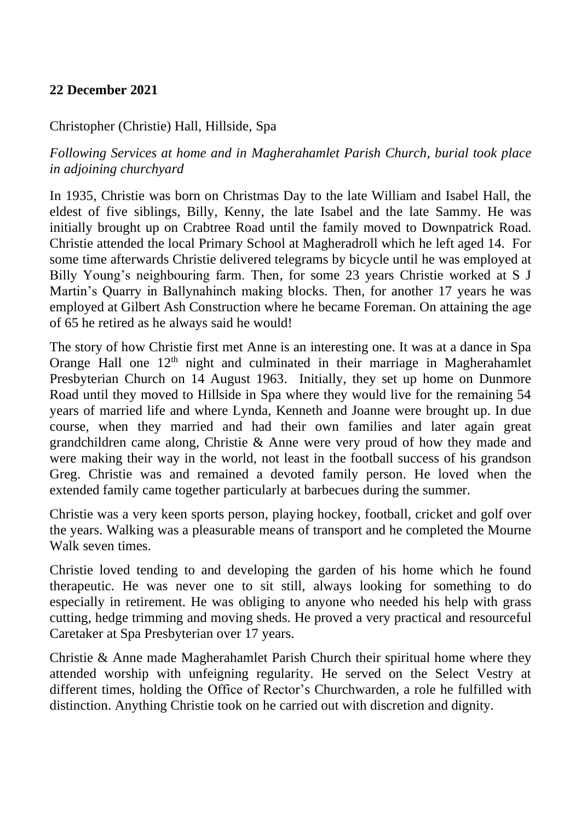#### **22 December 2021**

#### Christopher (Christie) Hall, Hillside, Spa

*Following Services at home and in Magherahamlet Parish Church, burial took place in adjoining churchyard*

In 1935, Christie was born on Christmas Day to the late William and Isabel Hall, the eldest of five siblings, Billy, Kenny, the late Isabel and the late Sammy. He was initially brought up on Crabtree Road until the family moved to Downpatrick Road. Christie attended the local Primary School at Magheradroll which he left aged 14. For some time afterwards Christie delivered telegrams by bicycle until he was employed at Billy Young's neighbouring farm. Then, for some 23 years Christie worked at S J Martin's Quarry in Ballynahinch making blocks. Then, for another 17 years he was employed at Gilbert Ash Construction where he became Foreman. On attaining the age of 65 he retired as he always said he would!

The story of how Christie first met Anne is an interesting one. It was at a dance in Spa Orange Hall one  $12<sup>th</sup>$  night and culminated in their marriage in Magherahamlet Presbyterian Church on 14 August 1963. Initially, they set up home on Dunmore Road until they moved to Hillside in Spa where they would live for the remaining 54 years of married life and where Lynda, Kenneth and Joanne were brought up. In due course, when they married and had their own families and later again great grandchildren came along, Christie & Anne were very proud of how they made and were making their way in the world, not least in the football success of his grandson Greg. Christie was and remained a devoted family person. He loved when the extended family came together particularly at barbecues during the summer.

Christie was a very keen sports person, playing hockey, football, cricket and golf over the years. Walking was a pleasurable means of transport and he completed the Mourne Walk seven times.

Christie loved tending to and developing the garden of his home which he found therapeutic. He was never one to sit still, always looking for something to do especially in retirement. He was obliging to anyone who needed his help with grass cutting, hedge trimming and moving sheds. He proved a very practical and resourceful Caretaker at Spa Presbyterian over 17 years.

Christie & Anne made Magherahamlet Parish Church their spiritual home where they attended worship with unfeigning regularity. He served on the Select Vestry at different times, holding the Office of Rector's Churchwarden, a role he fulfilled with distinction. Anything Christie took on he carried out with discretion and dignity.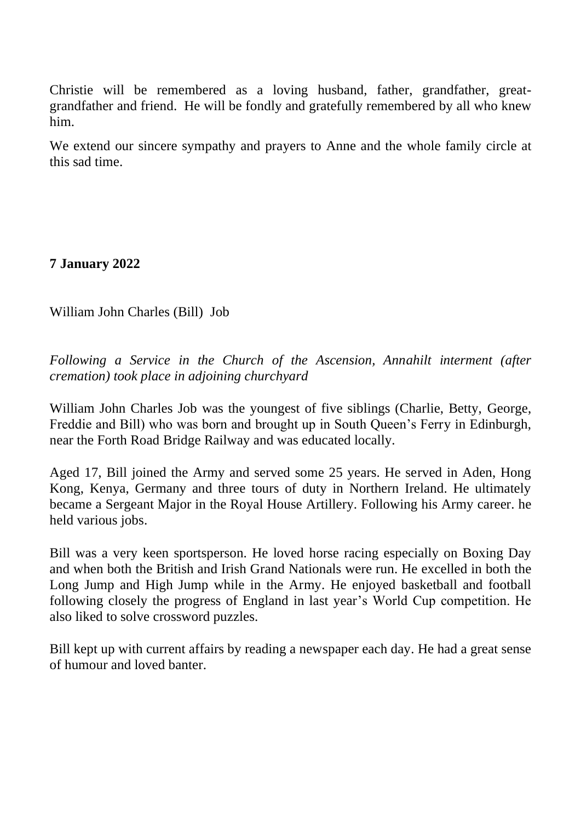Christie will be remembered as a loving husband, father, grandfather, greatgrandfather and friend. He will be fondly and gratefully remembered by all who knew him.

We extend our sincere sympathy and prayers to Anne and the whole family circle at this sad time.

**7 January 2022**

William John Charles (Bill) Job

*Following a Service in the Church of the Ascension, Annahilt interment (after cremation) took place in adjoining churchyard*

William John Charles Job was the youngest of five siblings (Charlie, Betty, George, Freddie and Bill) who was born and brought up in South Queen's Ferry in Edinburgh, near the Forth Road Bridge Railway and was educated locally.

Aged 17, Bill joined the Army and served some 25 years. He served in Aden, Hong Kong, Kenya, Germany and three tours of duty in Northern Ireland. He ultimately became a Sergeant Major in the Royal House Artillery. Following his Army career. he held various jobs.

Bill was a very keen sportsperson. He loved horse racing especially on Boxing Day and when both the British and Irish Grand Nationals were run. He excelled in both the Long Jump and High Jump while in the Army. He enjoyed basketball and football following closely the progress of England in last year's World Cup competition. He also liked to solve crossword puzzles.

Bill kept up with current affairs by reading a newspaper each day. He had a great sense of humour and loved banter.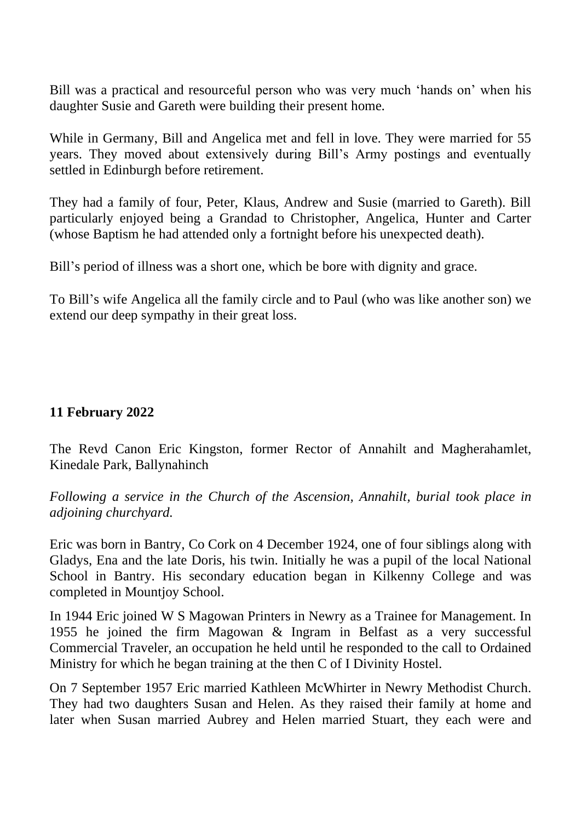Bill was a practical and resourceful person who was very much 'hands on' when his daughter Susie and Gareth were building their present home.

While in Germany, Bill and Angelica met and fell in love. They were married for 55 years. They moved about extensively during Bill's Army postings and eventually settled in Edinburgh before retirement.

They had a family of four, Peter, Klaus, Andrew and Susie (married to Gareth). Bill particularly enjoyed being a Grandad to Christopher, Angelica, Hunter and Carter (whose Baptism he had attended only a fortnight before his unexpected death).

Bill's period of illness was a short one, which be bore with dignity and grace.

To Bill's wife Angelica all the family circle and to Paul (who was like another son) we extend our deep sympathy in their great loss.

#### **11 February 2022**

The Revd Canon Eric Kingston, former Rector of Annahilt and Magherahamlet, Kinedale Park, Ballynahinch

*Following a service in the Church of the Ascension, Annahilt, burial took place in adjoining churchyard.*

Eric was born in Bantry, Co Cork on 4 December 1924, one of four siblings along with Gladys, Ena and the late Doris, his twin. Initially he was a pupil of the local National School in Bantry. His secondary education began in Kilkenny College and was completed in Mountjoy School.

In 1944 Eric joined W S Magowan Printers in Newry as a Trainee for Management. In 1955 he joined the firm Magowan & Ingram in Belfast as a very successful Commercial Traveler, an occupation he held until he responded to the call to Ordained Ministry for which he began training at the then C of I Divinity Hostel.

On 7 September 1957 Eric married Kathleen McWhirter in Newry Methodist Church. They had two daughters Susan and Helen. As they raised their family at home and later when Susan married Aubrey and Helen married Stuart, they each were and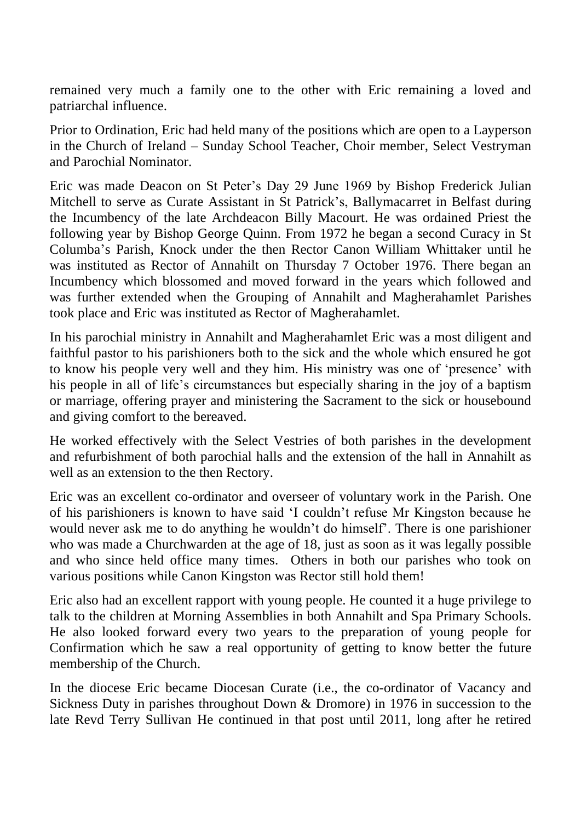remained very much a family one to the other with Eric remaining a loved and patriarchal influence.

Prior to Ordination, Eric had held many of the positions which are open to a Layperson in the Church of Ireland – Sunday School Teacher, Choir member, Select Vestryman and Parochial Nominator.

Eric was made Deacon on St Peter's Day 29 June 1969 by Bishop Frederick Julian Mitchell to serve as Curate Assistant in St Patrick's, Ballymacarret in Belfast during the Incumbency of the late Archdeacon Billy Macourt. He was ordained Priest the following year by Bishop George Quinn. From 1972 he began a second Curacy in St Columba's Parish, Knock under the then Rector Canon William Whittaker until he was instituted as Rector of Annahilt on Thursday 7 October 1976. There began an Incumbency which blossomed and moved forward in the years which followed and was further extended when the Grouping of Annahilt and Magherahamlet Parishes took place and Eric was instituted as Rector of Magherahamlet.

In his parochial ministry in Annahilt and Magherahamlet Eric was a most diligent and faithful pastor to his parishioners both to the sick and the whole which ensured he got to know his people very well and they him. His ministry was one of 'presence' with his people in all of life's circumstances but especially sharing in the joy of a baptism or marriage, offering prayer and ministering the Sacrament to the sick or housebound and giving comfort to the bereaved.

He worked effectively with the Select Vestries of both parishes in the development and refurbishment of both parochial halls and the extension of the hall in Annahilt as well as an extension to the then Rectory.

Eric was an excellent co-ordinator and overseer of voluntary work in the Parish. One of his parishioners is known to have said 'I couldn't refuse Mr Kingston because he would never ask me to do anything he wouldn't do himself'. There is one parishioner who was made a Churchwarden at the age of 18, just as soon as it was legally possible and who since held office many times. Others in both our parishes who took on various positions while Canon Kingston was Rector still hold them!

Eric also had an excellent rapport with young people. He counted it a huge privilege to talk to the children at Morning Assemblies in both Annahilt and Spa Primary Schools. He also looked forward every two years to the preparation of young people for Confirmation which he saw a real opportunity of getting to know better the future membership of the Church.

In the diocese Eric became Diocesan Curate (i.e., the co-ordinator of Vacancy and Sickness Duty in parishes throughout Down & Dromore) in 1976 in succession to the late Revd Terry Sullivan He continued in that post until 2011, long after he retired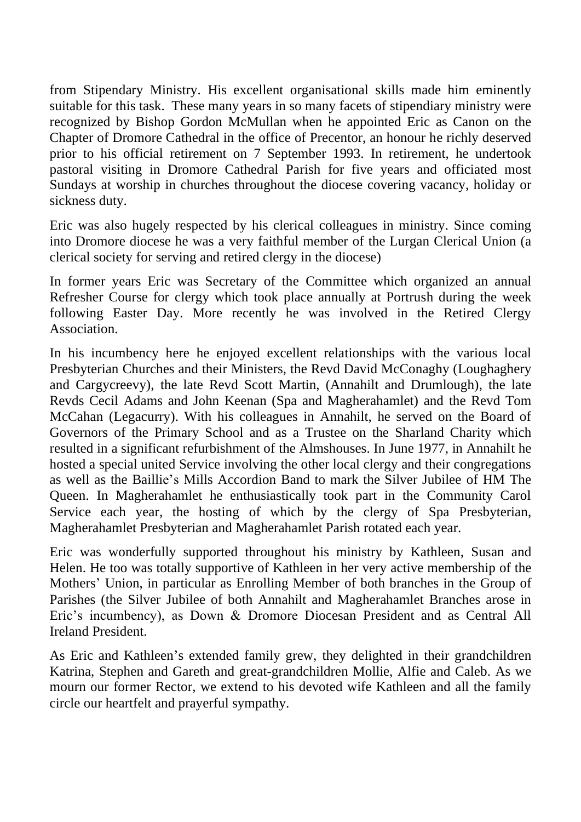from Stipendary Ministry. His excellent organisational skills made him eminently suitable for this task. These many years in so many facets of stipendiary ministry were recognized by Bishop Gordon McMullan when he appointed Eric as Canon on the Chapter of Dromore Cathedral in the office of Precentor, an honour he richly deserved prior to his official retirement on 7 September 1993. In retirement, he undertook pastoral visiting in Dromore Cathedral Parish for five years and officiated most Sundays at worship in churches throughout the diocese covering vacancy, holiday or sickness duty.

Eric was also hugely respected by his clerical colleagues in ministry. Since coming into Dromore diocese he was a very faithful member of the Lurgan Clerical Union (a clerical society for serving and retired clergy in the diocese)

In former years Eric was Secretary of the Committee which organized an annual Refresher Course for clergy which took place annually at Portrush during the week following Easter Day. More recently he was involved in the Retired Clergy Association.

In his incumbency here he enjoyed excellent relationships with the various local Presbyterian Churches and their Ministers, the Revd David McConaghy (Loughaghery and Cargycreevy), the late Revd Scott Martin, (Annahilt and Drumlough), the late Revds Cecil Adams and John Keenan (Spa and Magherahamlet) and the Revd Tom McCahan (Legacurry). With his colleagues in Annahilt, he served on the Board of Governors of the Primary School and as a Trustee on the Sharland Charity which resulted in a significant refurbishment of the Almshouses. In June 1977, in Annahilt he hosted a special united Service involving the other local clergy and their congregations as well as the Baillie's Mills Accordion Band to mark the Silver Jubilee of HM The Queen. In Magherahamlet he enthusiastically took part in the Community Carol Service each year, the hosting of which by the clergy of Spa Presbyterian, Magherahamlet Presbyterian and Magherahamlet Parish rotated each year.

Eric was wonderfully supported throughout his ministry by Kathleen, Susan and Helen. He too was totally supportive of Kathleen in her very active membership of the Mothers' Union, in particular as Enrolling Member of both branches in the Group of Parishes (the Silver Jubilee of both Annahilt and Magherahamlet Branches arose in Eric's incumbency), as Down & Dromore Diocesan President and as Central All Ireland President.

As Eric and Kathleen's extended family grew, they delighted in their grandchildren Katrina, Stephen and Gareth and great-grandchildren Mollie, Alfie and Caleb. As we mourn our former Rector, we extend to his devoted wife Kathleen and all the family circle our heartfelt and prayerful sympathy.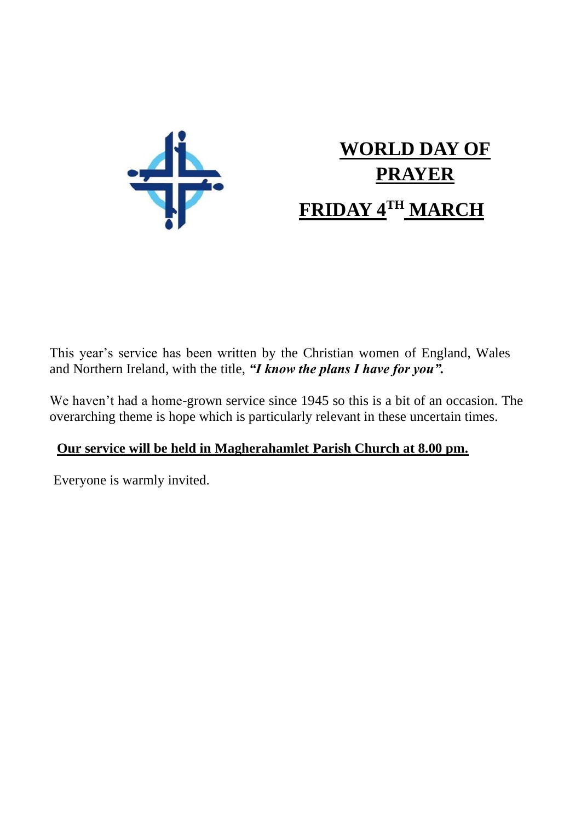

# **WORLD DAY OF PRAYER FRIDAY 4TH MARCH**

This year's service has been written by the Christian women of England, Wales and Northern Ireland, with the title, *"I know the plans I have for you".*

We haven't had a home-grown service since 1945 so this is a bit of an occasion. The overarching theme is hope which is particularly relevant in these uncertain times.

## **Our service will be held in Magherahamlet Parish Church at 8.00 pm.**

Everyone is warmly invited.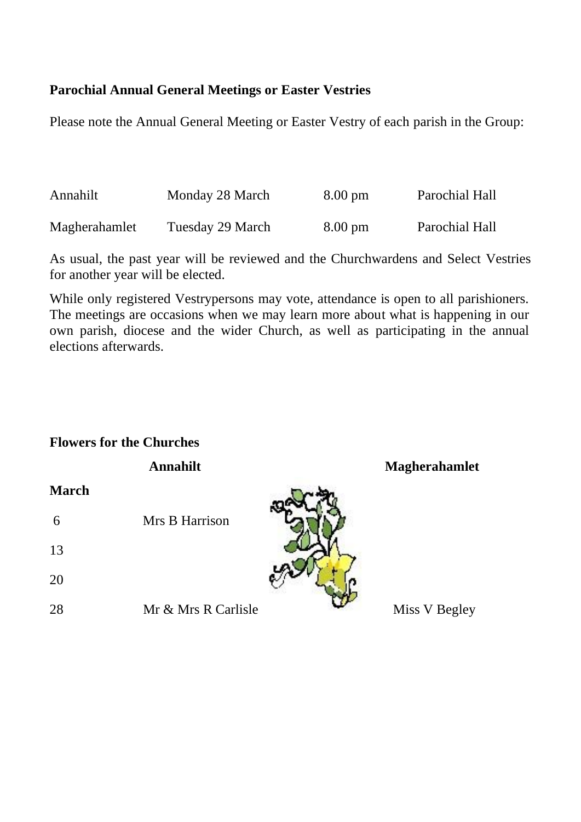#### **Parochial Annual General Meetings or Easter Vestries**

Please note the Annual General Meeting or Easter Vestry of each parish in the Group:

| Annahilt      | Monday 28 March  | $8.00 \text{ pm}$ | Parochial Hall |
|---------------|------------------|-------------------|----------------|
| Magherahamlet | Tuesday 29 March | $8.00 \text{ pm}$ | Parochial Hall |

As usual, the past year will be reviewed and the Churchwardens and Select Vestries for another year will be elected.

While only registered Vestrypersons may vote, attendance is open to all parishioners. The meetings are occasions when we may learn more about what is happening in our own parish, diocese and the wider Church, as well as participating in the annual elections afterwards.

#### **Flowers for the Churches**

|       | Annahilt            | Magherahamlet |
|-------|---------------------|---------------|
| March |                     |               |
| 6     | Mrs B Harrison      |               |
| 13    |                     |               |
| 20    |                     |               |
| 28    | Mr & Mrs R Carlisle | Miss V Begley |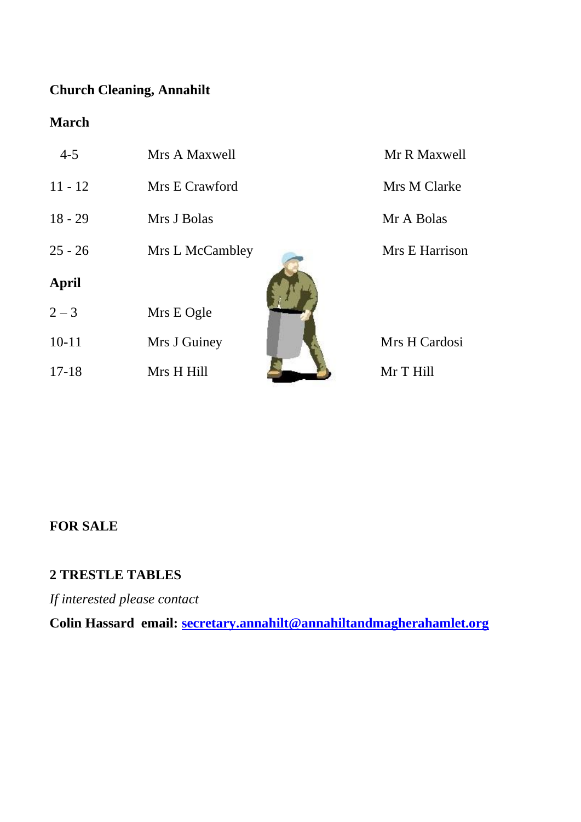## **Church Cleaning, Annahilt**

## **March**

| $4 - 5$   | Mrs A Maxwell   | Mr R Maxwell   |
|-----------|-----------------|----------------|
| $11 - 12$ | Mrs E Crawford  | Mrs M Clarke   |
| $18 - 29$ | Mrs J Bolas     | Mr A Bolas     |
| $25 - 26$ | Mrs L McCambley | Mrs E Harrison |
| April     |                 |                |
| $2 - 3$   | Mrs E Ogle      |                |
| $10 - 11$ | Mrs J Guiney    | Mrs H Cardosi  |
| $17 - 18$ | Mrs H Hill      | Mr T Hill      |

## **FOR SALE**

## **2 TRESTLE TABLES**

*If interested please contact*

**Colin Hassard email: [secretary.annahilt@annahiltandmagherahamlet.org](mailto:secretary.annahilt@annahiltandmagherahamlet.org)**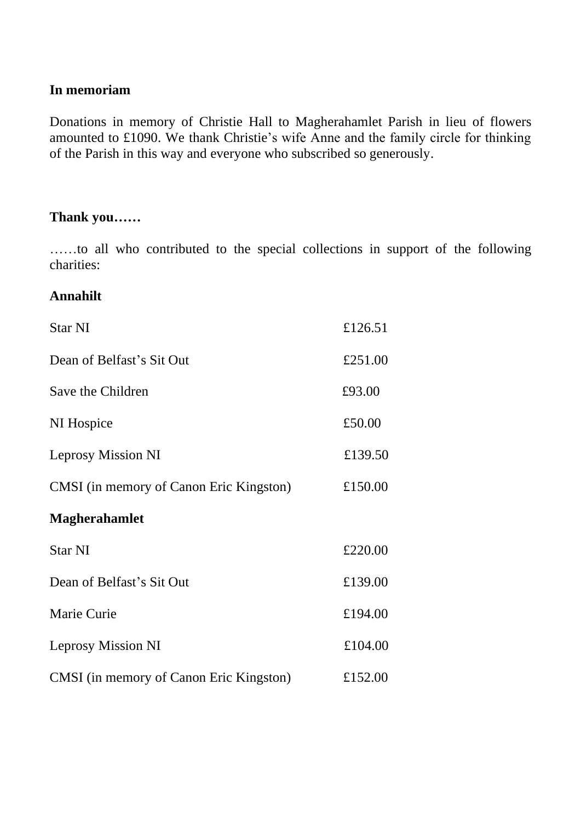#### **In memoriam**

Donations in memory of Christie Hall to Magherahamlet Parish in lieu of flowers amounted to £1090. We thank Christie's wife Anne and the family circle for thinking of the Parish in this way and everyone who subscribed so generously.

#### **Thank you……**

……to all who contributed to the special collections in support of the following charities:

#### **Annahilt**

| <b>Star NI</b>                          | £126.51 |
|-----------------------------------------|---------|
| Dean of Belfast's Sit Out               | £251.00 |
| Save the Children                       | £93.00  |
| NI Hospice                              | £50.00  |
| Leprosy Mission NI                      | £139.50 |
| CMSI (in memory of Canon Eric Kingston) | £150.00 |
| <b>Magherahamlet</b>                    |         |
| Star NI                                 | £220.00 |
| Dean of Belfast's Sit Out               | £139.00 |
|                                         |         |
| Marie Curie                             | £194.00 |
| Leprosy Mission NI                      | £104.00 |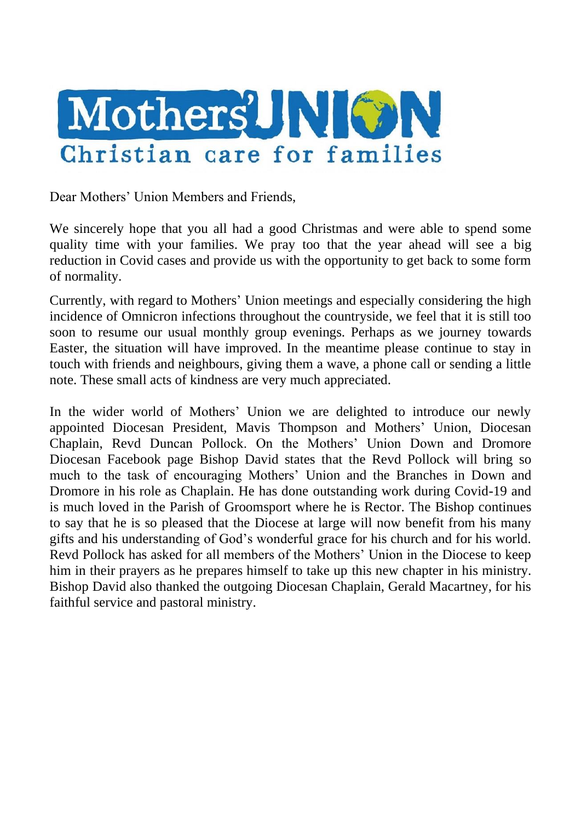

Dear Mothers' Union Members and Friends,

We sincerely hope that you all had a good Christmas and were able to spend some quality time with your families. We pray too that the year ahead will see a big reduction in Covid cases and provide us with the opportunity to get back to some form of normality.

Currently, with regard to Mothers' Union meetings and especially considering the high incidence of Omnicron infections throughout the countryside, we feel that it is still too soon to resume our usual monthly group evenings. Perhaps as we journey towards Easter, the situation will have improved. In the meantime please continue to stay in touch with friends and neighbours, giving them a wave, a phone call or sending a little note. These small acts of kindness are very much appreciated.

In the wider world of Mothers' Union we are delighted to introduce our newly appointed Diocesan President, Mavis Thompson and Mothers' Union, Diocesan Chaplain, Revd Duncan Pollock. On the Mothers' Union Down and Dromore Diocesan Facebook page Bishop David states that the Revd Pollock will bring so much to the task of encouraging Mothers' Union and the Branches in Down and Dromore in his role as Chaplain. He has done outstanding work during Covid-19 and is much loved in the Parish of Groomsport where he is Rector. The Bishop continues to say that he is so pleased that the Diocese at large will now benefit from his many gifts and his understanding of God's wonderful grace for his church and for his world. Revd Pollock has asked for all members of the Mothers' Union in the Diocese to keep him in their prayers as he prepares himself to take up this new chapter in his ministry. Bishop David also thanked the outgoing Diocesan Chaplain, Gerald Macartney, for his faithful service and pastoral ministry.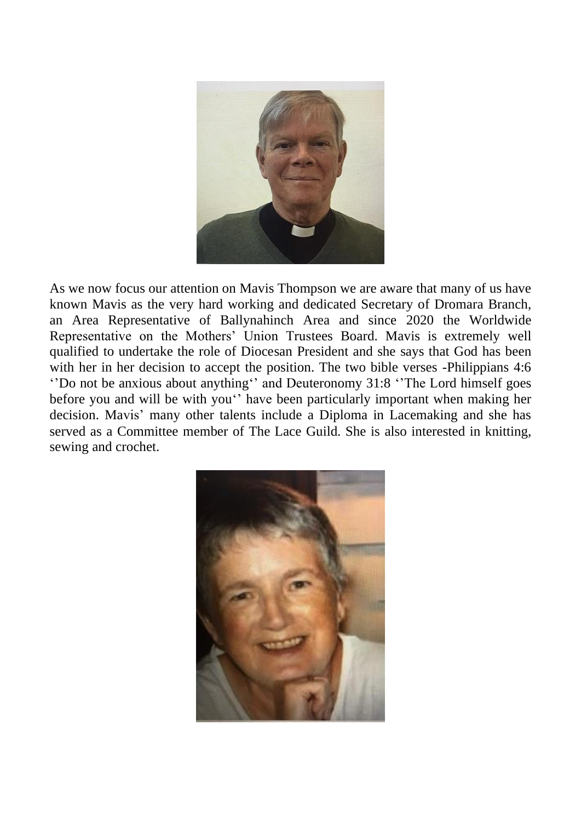

As we now focus our attention on Mavis Thompson we are aware that many of us have known Mavis as the very hard working and dedicated Secretary of Dromara Branch, an Area Representative of Ballynahinch Area and since 2020 the Worldwide Representative on the Mothers' Union Trustees Board. Mavis is extremely well qualified to undertake the role of Diocesan President and she says that God has been with her in her decision to accept the position. The two bible verses -Philippians 4:6 ''Do not be anxious about anything'' and Deuteronomy 31:8 ''The Lord himself goes before you and will be with you'' have been particularly important when making her decision. Mavis' many other talents include a Diploma in Lacemaking and she has served as a Committee member of The Lace Guild. She is also interested in knitting, sewing and crochet.

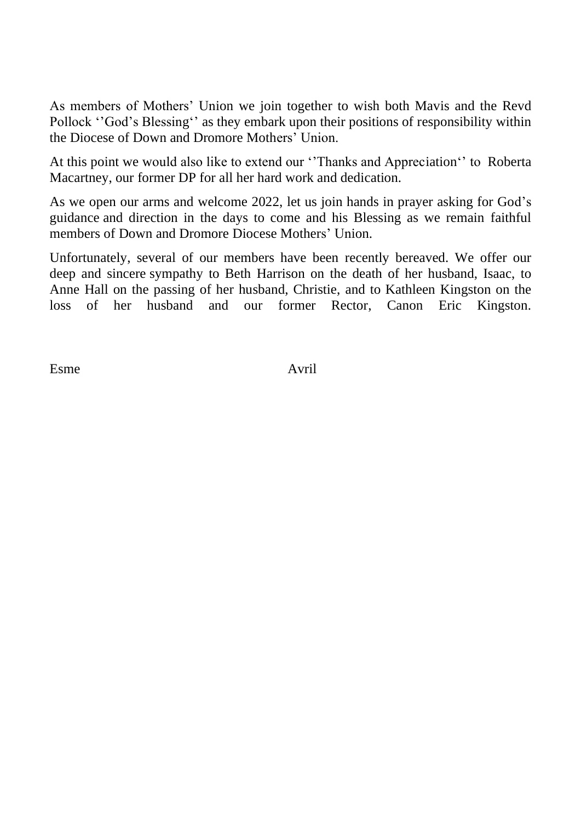As members of Mothers' Union we join together to wish both Mavis and the Revd Pollock ''God's Blessing'' as they embark upon their positions of responsibility within the Diocese of Down and Dromore Mothers' Union.

At this point we would also like to extend our ''Thanks and Appreciation'' to Roberta Macartney, our former DP for all her hard work and dedication.

As we open our arms and welcome 2022, let us join hands in prayer asking for God's guidance and direction in the days to come and his Blessing as we remain faithful members of Down and Dromore Diocese Mothers' Union.

Unfortunately, several of our members have been recently bereaved. We offer our deep and sincere sympathy to Beth Harrison on the death of her husband, Isaac, to Anne Hall on the passing of her husband, Christie, and to Kathleen Kingston on the loss of her husband and our former Rector, Canon Eric Kingston.

Esme Avril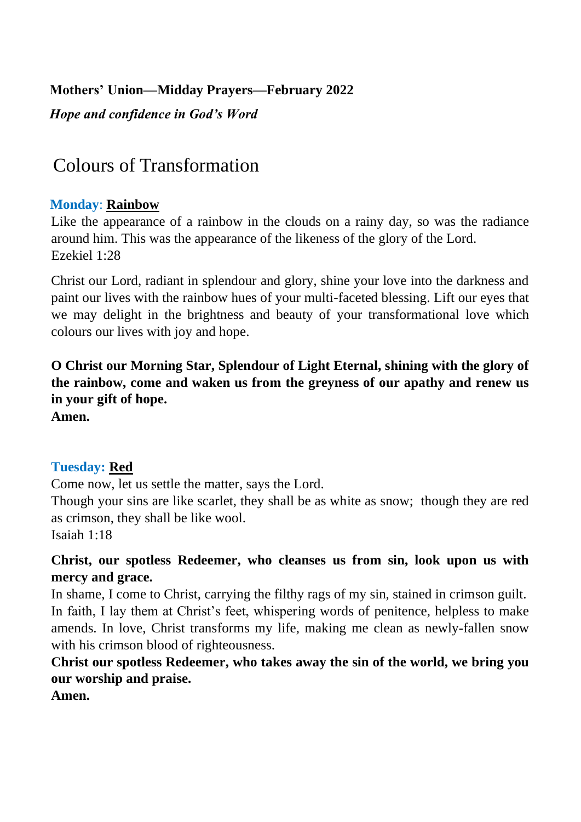## **Mothers' Union—Midday Prayers—February 2022**

*Hope and confidence in God's Word* 

# Colours of Transformation

## **Monday**: **Rainbow**

Like the appearance of a rainbow in the clouds on a rainy day, so was the radiance around him. This was the appearance of the likeness of the glory of the Lord. Ezekiel 1:28

Christ our Lord, radiant in splendour and glory, shine your love into the darkness and paint our lives with the rainbow hues of your multi-faceted blessing. Lift our eyes that we may delight in the brightness and beauty of your transformational love which colours our lives with joy and hope.

**O Christ our Morning Star, Splendour of Light Eternal, shining with the glory of the rainbow, come and waken us from the greyness of our apathy and renew us in your gift of hope.** 

**Amen.**

## **Tuesday: Red**

Come now, let us settle the matter, says the Lord.

Though your sins are like scarlet, they shall be as white as snow; though they are red as crimson, they shall be like wool.

Isaiah 1:18

## **Christ, our spotless Redeemer, who cleanses us from sin, look upon us with mercy and grace.**

In shame, I come to Christ, carrying the filthy rags of my sin, stained in crimson guilt. In faith, I lay them at Christ's feet, whispering words of penitence, helpless to make amends. In love, Christ transforms my life, making me clean as newly-fallen snow with his crimson blood of righteousness.

**Christ our spotless Redeemer, who takes away the sin of the world, we bring you our worship and praise.** 

**Amen.**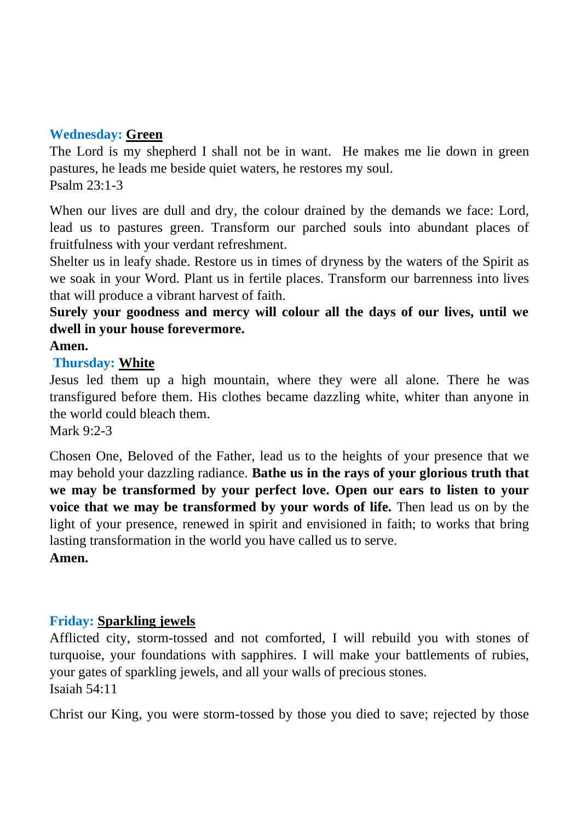## **Wednesday: Green**

The Lord is my shepherd I shall not be in want. He makes me lie down in green pastures, he leads me beside quiet waters, he restores my soul. Psalm 23:1-3

When our lives are dull and dry, the colour drained by the demands we face: Lord, lead us to pastures green. Transform our parched souls into abundant places of fruitfulness with your verdant refreshment.

Shelter us in leafy shade. Restore us in times of dryness by the waters of the Spirit as we soak in your Word. Plant us in fertile places. Transform our barrenness into lives that will produce a vibrant harvest of faith.

**Surely your goodness and mercy will colour all the days of our lives, until we dwell in your house forevermore.** 

#### **Amen.**

#### **Thursday: White**

Jesus led them up a high mountain, where they were all alone. There he was transfigured before them. His clothes became dazzling white, whiter than anyone in the world could bleach them.

Mark 9:2-3

Chosen One, Beloved of the Father, lead us to the heights of your presence that we may behold your dazzling radiance. **Bathe us in the rays of your glorious truth that we may be transformed by your perfect love. Open our ears to listen to your voice that we may be transformed by your words of life.** Then lead us on by the light of your presence, renewed in spirit and envisioned in faith; to works that bring lasting transformation in the world you have called us to serve. **Amen.** 

## **Friday: Sparkling jewels**

Afflicted city, storm-tossed and not comforted, I will rebuild you with stones of turquoise, your foundations with sapphires. I will make your battlements of rubies, your gates of sparkling jewels, and all your walls of precious stones. Isaiah 54:11

Christ our King, you were storm-tossed by those you died to save; rejected by those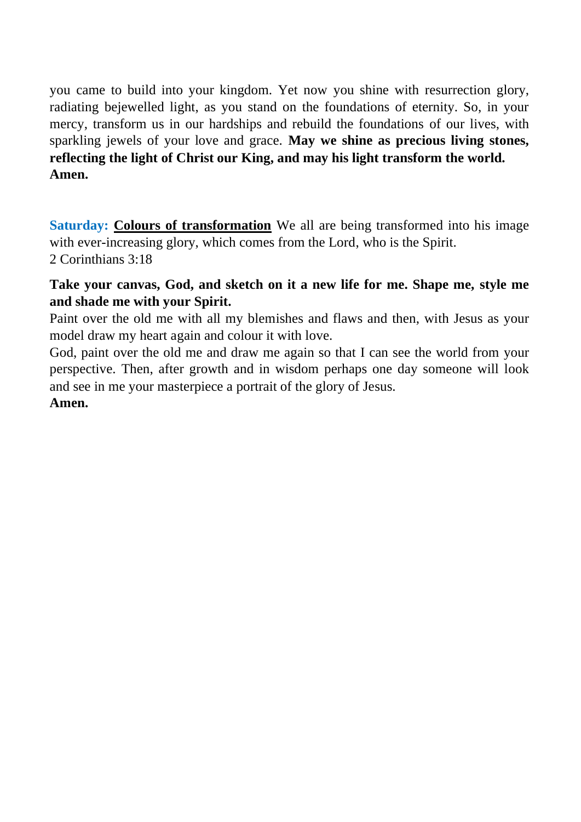you came to build into your kingdom. Yet now you shine with resurrection glory, radiating bejewelled light, as you stand on the foundations of eternity. So, in your mercy, transform us in our hardships and rebuild the foundations of our lives, with sparkling jewels of your love and grace. **May we shine as precious living stones, reflecting the light of Christ our King, and may his light transform the world. Amen.** 

**Saturday: Colours of transformation** We all are being transformed into his image with ever-increasing glory, which comes from the Lord, who is the Spirit. 2 Corinthians 3:18

## **Take your canvas, God, and sketch on it a new life for me. Shape me, style me and shade me with your Spirit.**

Paint over the old me with all my blemishes and flaws and then, with Jesus as your model draw my heart again and colour it with love.

God, paint over the old me and draw me again so that I can see the world from your perspective. Then, after growth and in wisdom perhaps one day someone will look and see in me your masterpiece a portrait of the glory of Jesus.

#### **Amen.**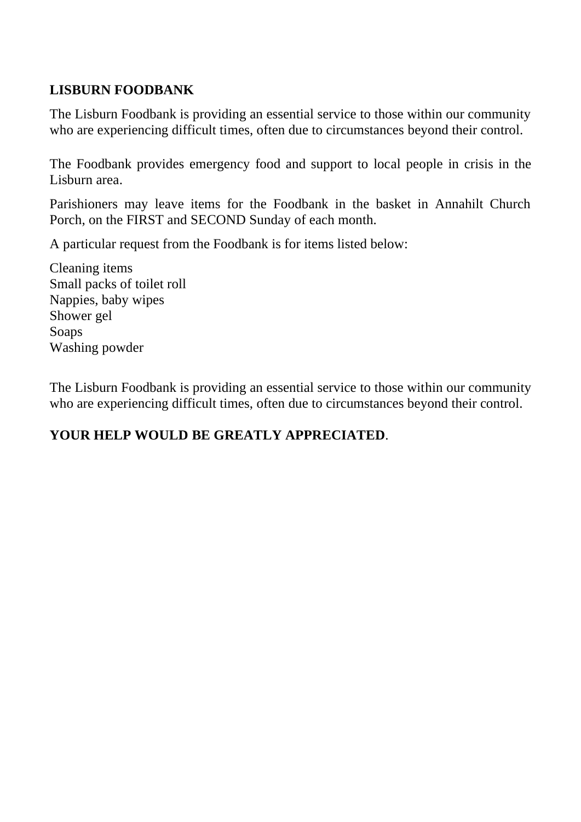## **LISBURN FOODBANK**

The Lisburn Foodbank is providing an essential service to those within our community who are experiencing difficult times, often due to circumstances beyond their control.

The Foodbank provides emergency food and support to local people in crisis in the Lisburn area.

Parishioners may leave items for the Foodbank in the basket in Annahilt Church Porch, on the FIRST and SECOND Sunday of each month.

A particular request from the Foodbank is for items listed below:

Cleaning items Small packs of toilet roll Nappies, baby wipes Shower gel Soaps Washing powder

The Lisburn Foodbank is providing an essential service to those within our community who are experiencing difficult times, often due to circumstances beyond their control.

## **YOUR HELP WOULD BE GREATLY APPRECIATED**.